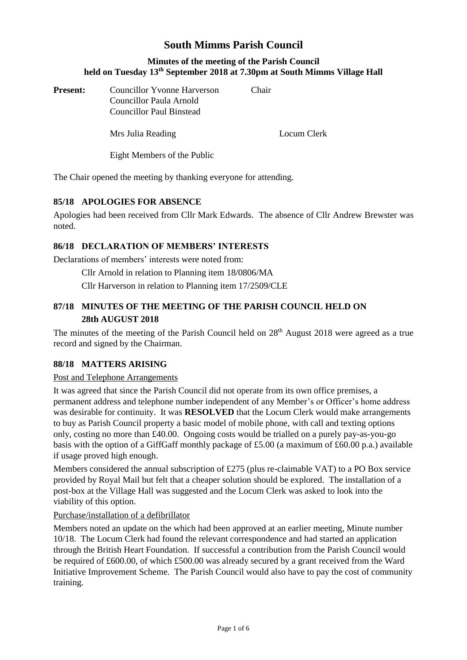# **South Mimms Parish Council**

### **Minutes of the meeting of the Parish Council held on Tuesday 13th September 2018 at 7.30pm at South Mimms Village Hall**

| <b>Present:</b> | <b>Councillor Yvonne Harverson</b><br>Councillor Paula Arnold<br><b>Councillor Paul Binstead</b> | Chair. |             |
|-----------------|--------------------------------------------------------------------------------------------------|--------|-------------|
|                 | Mrs Julia Reading                                                                                |        | Locum Clerk |

Eight Members of the Public

The Chair opened the meeting by thanking everyone for attending.

## **85/18 APOLOGIES FOR ABSENCE**

Apologies had been received from Cllr Mark Edwards. The absence of Cllr Andrew Brewster was noted.

## **86/18 DECLARATION OF MEMBERS' INTERESTS**

Declarations of members' interests were noted from:

Cllr Arnold in relation to Planning item 18/0806/MA

Cllr Harverson in relation to Planning item 17/2509/CLE

# **87/18 MINUTES OF THE MEETING OF THE PARISH COUNCIL HELD ON 28th AUGUST 2018**

The minutes of the meeting of the Parish Council held on 28<sup>th</sup> August 2018 were agreed as a true record and signed by the Chairman.

## **88/18 MATTERS ARISING**

### Post and Telephone Arrangements

It was agreed that since the Parish Council did not operate from its own office premises, a permanent address and telephone number independent of any Member's or Officer's home address was desirable for continuity. It was **RESOLVED** that the Locum Clerk would make arrangements to buy as Parish Council property a basic model of mobile phone, with call and texting options only, costing no more than £40.00. Ongoing costs would be trialled on a purely pay-as-you-go basis with the option of a GiffGaff monthly package of £5.00 (a maximum of £60.00 p.a.) available if usage proved high enough.

Members considered the annual subscription of  $£275$  (plus re-claimable VAT) to a PO Box service provided by Royal Mail but felt that a cheaper solution should be explored. The installation of a post-box at the Village Hall was suggested and the Locum Clerk was asked to look into the viability of this option.

## Purchase/installation of a defibrillator

Members noted an update on the which had been approved at an earlier meeting, Minute number 10/18. The Locum Clerk had found the relevant correspondence and had started an application through the British Heart Foundation. If successful a contribution from the Parish Council would be required of £600.00, of which £500.00 was already secured by a grant received from the Ward Initiative Improvement Scheme. The Parish Council would also have to pay the cost of community training.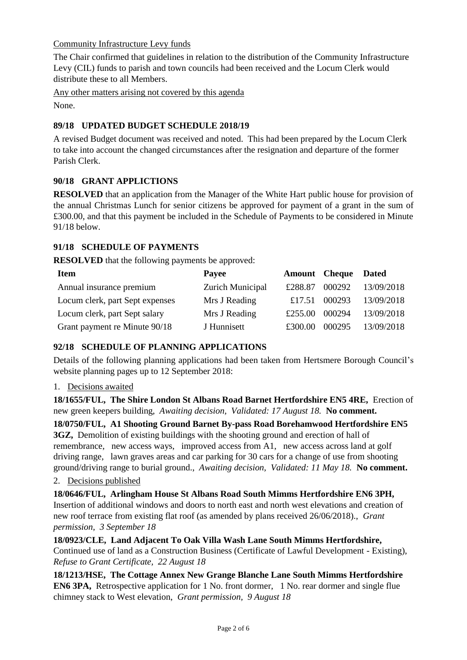Community Infrastructure Levy funds

The Chair confirmed that guidelines in relation to the distribution of the Community Infrastructure Levy (CIL) funds to parish and town councils had been received and the Locum Clerk would distribute these to all Members.

Any other matters arising not covered by this agenda

None.

## **89/18 UPDATED BUDGET SCHEDULE 2018/19**

A revised Budget document was received and noted. This had been prepared by the Locum Clerk to take into account the changed circumstances after the resignation and departure of the former Parish Clerk.

## **90/18 GRANT APPLICTIONS**

**RESOLVED** that an application from the Manager of the White Hart public house for provision of the annual Christmas Lunch for senior citizens be approved for payment of a grant in the sum of £300.00, and that this payment be included in the Schedule of Payments to be considered in Minute 91/18 below.

## **91/18 SCHEDULE OF PAYMENTS**

**RESOLVED** that the following payments be approved:

| <b>Item</b>                     | Payee            | <b>Amount</b> Cheque |        | <b>Dated</b> |
|---------------------------------|------------------|----------------------|--------|--------------|
| Annual insurance premium        | Zurich Municipal | £288.87              | 000292 | 13/09/2018   |
| Locum clerk, part Sept expenses | Mrs J Reading    | £17.51               | 000293 | 13/09/2018   |
| Locum clerk, part Sept salary   | Mrs J Reading    | £255.00              | 000294 | 13/09/2018   |
| Grant payment re Minute 90/18   | J Hunnisett      | £300.00              | 000295 | 13/09/2018   |

## **92/18 SCHEDULE OF PLANNING APPLICATIONS**

Details of the following planning applications had been taken from Hertsmere Borough Council's website planning pages up to 12 September 2018:

## 1. Decisions awaited

**18/1655/FUL, The Shire London St Albans Road Barnet Hertfordshire EN5 4RE,** Erection of new green keepers building, *Awaiting decision, Validated: 17 August 18.* **No comment.**

**18/0750/FUL, A1 Shooting Ground Barnet By-pass Road Borehamwood Hertfordshire EN5 3GZ,** Demolition of existing buildings with the shooting ground and erection of hall of remembrance, new access ways, improved access from A1, new access across land at golf driving range, lawn graves areas and car parking for 30 cars for a change of use from shooting ground/driving range to burial ground., *Awaiting decision, Validated: 11 May 18.* **No comment.**

## 2. Decisions published

**18/0646/FUL, Arlingham House St Albans Road South Mimms Hertfordshire EN6 3PH,**  Insertion of additional windows and doors to north east and north west elevations and creation of new roof terrace from existing flat roof (as amended by plans received 26/06/2018)., *Grant permission, 3 September 18*

**18/0923/CLE, Land Adjacent To Oak Villa Wash Lane South Mimms Hertfordshire,**  Continued use of land as a Construction Business (Certificate of Lawful Development - Existing), *Refuse to Grant Certificate, 22 August 18*

**18/1213/HSE, The Cottage Annex New Grange Blanche Lane South Mimms Hertfordshire EN6 3PA,** Retrospective application for 1 No. front dormer, 1 No. rear dormer and single flue chimney stack to West elevation, *Grant permission, 9 August 18*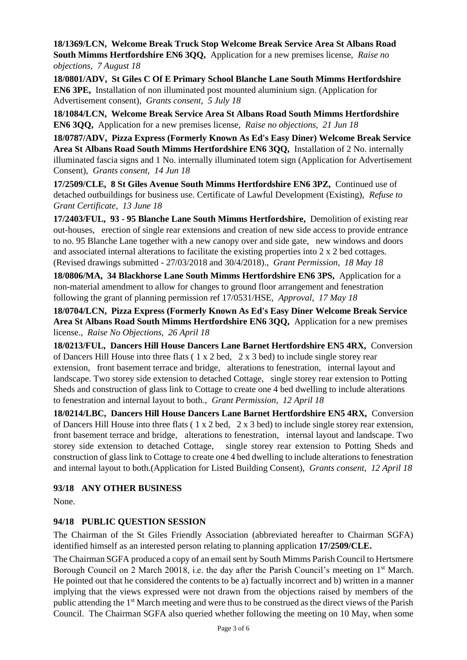**18/1369/LCN, Welcome Break Truck Stop Welcome Break Service Area St Albans Road South Mimms Hertfordshire EN6 3QQ,** Application for a new premises license, *Raise no objections, 7 August 18*

**18/0801/ADV, St Giles C Of E Primary School Blanche Lane South Mimms Hertfordshire EN6 3PE,** Installation of non illuminated post mounted aluminium sign. (Application for Advertisement consent), *Grants consent, 5 July 18*

**18/1084/LCN, Welcome Break Service Area St Albans Road South Mimms Hertfordshire EN6 3QQ,** Application for a new premises license, *Raise no objections, 21 Jun 18*

**18/0787/ADV, Pizza Express (Formerly Known As Ed's Easy Diner) Welcome Break Service Area St Albans Road South Mimms Hertfordshire EN6 3QQ,** Installation of 2 No. internally illuminated fascia signs and 1 No. internally illuminated totem sign (Application for Advertisement Consent), *Grants consent, 14 Jun 18*

**17/2509/CLE, 8 St Giles Avenue South Mimms Hertfordshire EN6 3PZ,** Continued use of detached outbuildings for business use. Certificate of Lawful Development (Existing), *Refuse to Grant Certificate, 13 June 18*

**17/2403/FUL, 93 - 95 Blanche Lane South Mimms Hertfordshire,** Demolition of existing rear out-houses, erection of single rear extensions and creation of new side access to provide entrance to no. 95 Blanche Lane together with a new canopy over and side gate, new windows and doors and associated internal alterations to facilitate the existing properties into 2 x 2 bed cottages. (Revised drawings submitted - 27/03/2018 and 30/4/2018)., *Grant Permission, 18 May 18*

**18/0806/MA, 34 Blackhorse Lane South Mimms Hertfordshire EN6 3PS,** Application for a non-material amendment to allow for changes to ground floor arrangement and fenestration following the grant of planning permission ref 17/0531/HSE, *Approval, 17 May 18*

**18/0704/LCN, Pizza Express (Formerly Known As Ed's Easy Diner Welcome Break Service Area St Albans Road South Mimms Hertfordshire EN6 3QQ,** Application for a new premises license., *Raise No Objections, 26 April 18*

**18/0213/FUL, Dancers Hill House Dancers Lane Barnet Hertfordshire EN5 4RX,** Conversion of Dancers Hill House into three flats ( 1 x 2 bed, 2 x 3 bed) to include single storey rear extension, front basement terrace and bridge, alterations to fenestration, internal layout and landscape. Two storey side extension to detached Cottage, single storey rear extension to Potting Sheds and construction of glass link to Cottage to create one 4 bed dwelling to include alterations to fenestration and internal layout to both., *Grant Permission, 12 April 18*

**18/0214/LBC, Dancers Hill House Dancers Lane Barnet Hertfordshire EN5 4RX,** Conversion of Dancers Hill House into three flats ( 1 x 2 bed, 2 x 3 bed) to include single storey rear extension, front basement terrace and bridge, alterations to fenestration, internal layout and landscape. Two storey side extension to detached Cottage, single storey rear extension to Potting Sheds and construction of glass link to Cottage to create one 4 bed dwelling to include alterations to fenestration and internal layout to both.(Application for Listed Building Consent), *Grants consent, 12 April 18*

### **93/18 ANY OTHER BUSINESS**

None.

## **94/18 PUBLIC QUESTION SESSION**

The Chairman of the St Giles Friendly Association (abbreviated hereafter to Chairman SGFA) identified himself as an interested person relating to planning application **17/2509/CLE.**

The Chairman SGFA produced a copy of an email sent by South Mimms Parish Council to Hertsmere Borough Council on 2 March 20018, i.e. the day after the Parish Council's meeting on 1<sup>st</sup> March. He pointed out that he considered the contents to be a) factually incorrect and b) written in a manner implying that the views expressed were not drawn from the objections raised by members of the public attending the 1<sup>st</sup> March meeting and were thus to be construed as the direct views of the Parish Council. The Chairman SGFA also queried whether following the meeting on 10 May, when some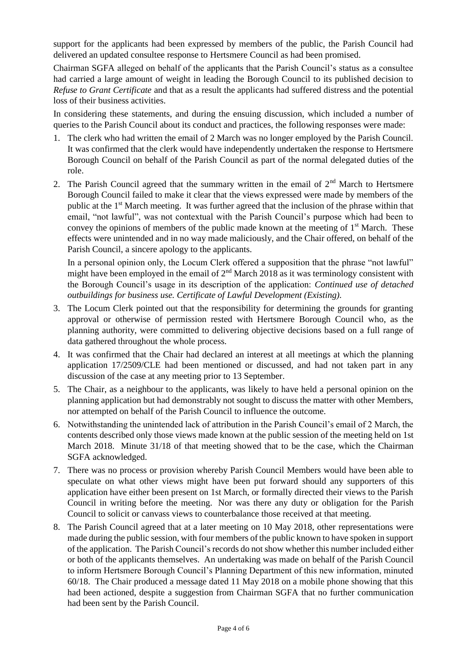support for the applicants had been expressed by members of the public, the Parish Council had delivered an updated consultee response to Hertsmere Council as had been promised.

Chairman SGFA alleged on behalf of the applicants that the Parish Council's status as a consultee had carried a large amount of weight in leading the Borough Council to its published decision to *Refuse to Grant Certificate* and that as a result the applicants had suffered distress and the potential loss of their business activities.

In considering these statements, and during the ensuing discussion, which included a number of queries to the Parish Council about its conduct and practices, the following responses were made:

- 1. The clerk who had written the email of 2 March was no longer employed by the Parish Council. It was confirmed that the clerk would have independently undertaken the response to Hertsmere Borough Council on behalf of the Parish Council as part of the normal delegated duties of the role.
- 2. The Parish Council agreed that the summary written in the email of  $2<sup>nd</sup>$  March to Hertsmere Borough Council failed to make it clear that the views expressed were made by members of the public at the 1<sup>st</sup> March meeting. It was further agreed that the inclusion of the phrase within that email, "not lawful", was not contextual with the Parish Council's purpose which had been to convey the opinions of members of the public made known at the meeting of  $1<sup>st</sup>$  March. These effects were unintended and in no way made maliciously, and the Chair offered, on behalf of the Parish Council, a sincere apology to the applicants.

In a personal opinion only, the Locum Clerk offered a supposition that the phrase "not lawful" might have been employed in the email of  $2<sup>nd</sup>$  March 2018 as it was terminology consistent with the Borough Council's usage in its description of the application: *Continued use of detached outbuildings for business use. Certificate of Lawful Development (Existing).* 

- 3. The Locum Clerk pointed out that the responsibility for determining the grounds for granting approval or otherwise of permission rested with Hertsmere Borough Council who, as the planning authority, were committed to delivering objective decisions based on a full range of data gathered throughout the whole process.
- 4. It was confirmed that the Chair had declared an interest at all meetings at which the planning application 17/2509/CLE had been mentioned or discussed, and had not taken part in any discussion of the case at any meeting prior to 13 September.
- 5. The Chair, as a neighbour to the applicants, was likely to have held a personal opinion on the planning application but had demonstrably not sought to discuss the matter with other Members, nor attempted on behalf of the Parish Council to influence the outcome.
- 6. Notwithstanding the unintended lack of attribution in the Parish Council's email of 2 March, the contents described only those views made known at the public session of the meeting held on 1st March 2018. Minute 31/18 of that meeting showed that to be the case, which the Chairman SGFA acknowledged.
- 7. There was no process or provision whereby Parish Council Members would have been able to speculate on what other views might have been put forward should any supporters of this application have either been present on 1st March, or formally directed their views to the Parish Council in writing before the meeting. Nor was there any duty or obligation for the Parish Council to solicit or canvass views to counterbalance those received at that meeting.
- 8. The Parish Council agreed that at a later meeting on 10 May 2018, other representations were made during the public session, with four members of the public known to have spoken in support of the application. The Parish Council's records do not show whether this number included either or both of the applicants themselves. An undertaking was made on behalf of the Parish Council to inform Hertsmere Borough Council's Planning Department of this new information, minuted 60/18. The Chair produced a message dated 11 May 2018 on a mobile phone showing that this had been actioned, despite a suggestion from Chairman SGFA that no further communication had been sent by the Parish Council.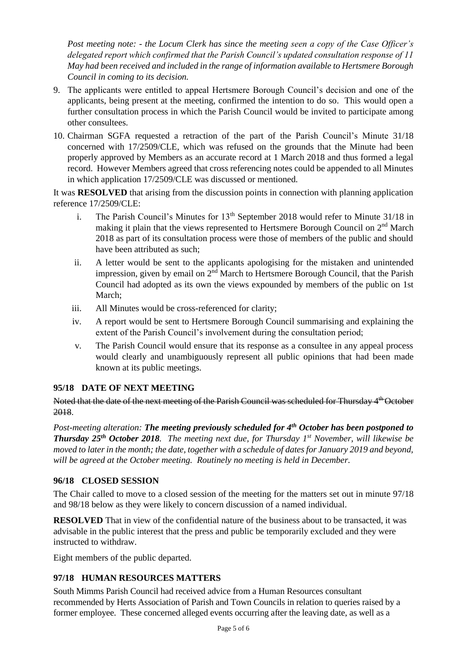*Post meeting note: - the Locum Clerk has since the meeting seen a copy of the Case Officer's delegated report which confirmed that the Parish Council's updated consultation response of 11 May had been received and included in the range of information available to Hertsmere Borough Council in coming to its decision.*

- 9. The applicants were entitled to appeal Hertsmere Borough Council's decision and one of the applicants, being present at the meeting, confirmed the intention to do so. This would open a further consultation process in which the Parish Council would be invited to participate among other consultees.
- 10. Chairman SGFA requested a retraction of the part of the Parish Council's Minute 31/18 concerned with 17/2509/CLE, which was refused on the grounds that the Minute had been properly approved by Members as an accurate record at 1 March 2018 and thus formed a legal record. However Members agreed that cross referencing notes could be appended to all Minutes in which application 17/2509/CLE was discussed or mentioned.

It was **RESOLVED** that arising from the discussion points in connection with planning application reference 17/2509/CLE:

- i. The Parish Council's Minutes for  $13<sup>th</sup>$  September 2018 would refer to Minute 31/18 in making it plain that the views represented to Hertsmere Borough Council on  $2<sup>nd</sup>$  March 2018 as part of its consultation process were those of members of the public and should have been attributed as such;
- ii. A letter would be sent to the applicants apologising for the mistaken and unintended impression, given by email on 2<sup>nd</sup> March to Hertsmere Borough Council, that the Parish Council had adopted as its own the views expounded by members of the public on 1st March;
- iii. All Minutes would be cross-referenced for clarity;
- iv. A report would be sent to Hertsmere Borough Council summarising and explaining the extent of the Parish Council's involvement during the consultation period;
- v. The Parish Council would ensure that its response as a consultee in any appeal process would clearly and unambiguously represent all public opinions that had been made known at its public meetings.

## **95/18 DATE OF NEXT MEETING**

Noted that the date of the next meeting of the Parish Council was scheduled for Thursday 4<sup>th</sup> October 2018.

*Post-meeting alteration: The meeting previously scheduled for 4th October has been postponed to Thursday 25 th October 2018. The meeting next due, for Thursday 1st November, will likewise be moved to later in the month; the date, together with a schedule of dates for January 2019 and beyond, will be agreed at the October meeting. Routinely no meeting is held in December.* 

## **96/18 CLOSED SESSION**

The Chair called to move to a closed session of the meeting for the matters set out in minute 97/18 and 98/18 below as they were likely to concern discussion of a named individual.

**RESOLVED** That in view of the confidential nature of the business about to be transacted, it was advisable in the public interest that the press and public be temporarily excluded and they were instructed to withdraw.

Eight members of the public departed.

### **97/18 HUMAN RESOURCES MATTERS**

South Mimms Parish Council had received advice from a Human Resources consultant recommended by Herts Association of Parish and Town Councils in relation to queries raised by a former employee. These concerned alleged events occurring after the leaving date, as well as a